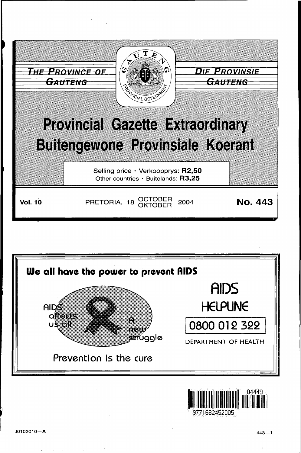



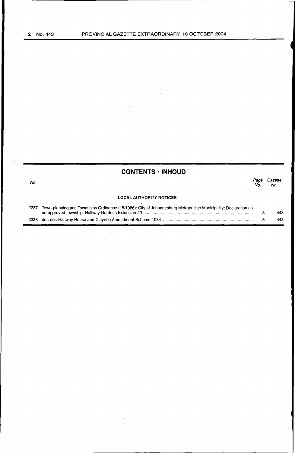No.

# **CQNTENTS • INHOUD**

|                                                                                                                            | Page<br>No. | Gazette<br>No. |
|----------------------------------------------------------------------------------------------------------------------------|-------------|----------------|
| <b>LOCAL AUTHORITY NOTICES</b>                                                                                             |             |                |
| aation oo al Torra abta a White cool falm and White at the cool to me kan above the cat material was the categories of the |             |                |

| 2237 Town-planning and Townships Ordinance (15/1986): City of Johannesburg Metropolitan Municipality: Declaration as |  |     |
|----------------------------------------------------------------------------------------------------------------------|--|-----|
|                                                                                                                      |  | 443 |
|                                                                                                                      |  | 443 |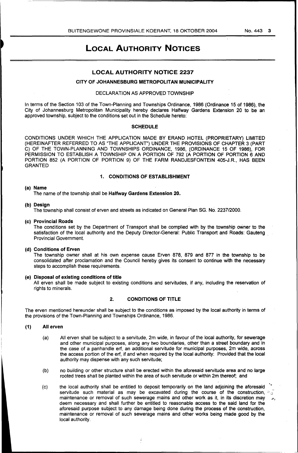# LOCAL AUTHORITY NOTICES

# LOCAL AUTHORITY NOTICE 2237

# CITY OF JOHANNESBURG METROPOLITAN MUNICIPALITY

# DECLARATION AS APPROVED TOWNSHIP

In terms of the Section 103 of the Town-Planning and Townships Ordinance, 1986 (Ordinance 15 of 1986), the City of Johannesburg Metropolitan Municipality hereby declares Halfway Gardens Extension 20 to be an approved township, subject to the conditions set out in the Schedule hereto:

### **SCHEDULE**

CONDITIONS UNDER WHICH THE APPLICATION MADE BY ERAND HOTEL (PROPRIETARY) LIMITED (HEREINAFTER REFERRED TO AS "THE APPLICANT") UNDER THE PROVISIONS OF CHAPTER 3 (PART C) OF THE TOWN-PLANNING AND TOWNSHIPS ORDINANCE, 1986, (ORDINANCE 15 OF 1986), FOR PERMISSION TO ESTABLISH A TOWNSHIP ON A PORTION OF 792 (A PORTION OF PORTION 6 AND PORTION 852 (A PORTION OF PORTION 9) OF THE FARM RANDJESFONTEIN 405-J.R., HAS BEEN GRANTED

# 1. CONDITIONS OF ESTABLISHMENT

### (a) Name

The name of the township shall be Halfway Gardens Extension 20.

#### (b) Desian

The township shall consist of erven and streets as indicated on General Plan SG. No. 2237/2000.

#### (c) Provincial Roads

The conditions set by the Department of Transport shall be complied with by the township owner to the satisfaction of the local authority and the Deputy Director-General: Public Transport and Roads: Gauteng Provincial Government.

### (d) Conditions of Erven

The township owner shall at his own expense cause Erven 878, 879 and 877 in the township to be consolidated after proclamation and the Council hereby gives its consent to continue with the necessary steps to accomplish these requirements.

### (e) Disposal of existing conditions of title

All erven shall be made subject to existing conditions and servitudes, if any, including the reservation of rights to minerals.

### 2. CONDITIONS OF TITLE

The erven mentioned hereunder shall be subject to the conditions as imposed by the local authority in terms of the provisions of the Town-Planning and Townships Ordinance, 1986.

#### (1) All erven

- (a) All erven shall be subject to a servitude, 2m wide, in favour of the local authority, for sewerage and other municipal purposes, along any two boundaries, other than a street boundary and in the case of a panhandle erf, an additional servitude for municipal purposes, 2m wide, across the access portion of the erf, if and when required by the local authority: Provided that the local authority may dispense with any such servitude;
- (b) no building or other structure shall be erected within the aforesaid servitude area and no large rooted trees shall be planted within the area of such servitude or within 2m thereof; and
- (c) the local authority shall be entitled to deposit temporarily on the land adjoining the aforesaid servitude such material as may be excavated during the course of the construction,  $\cdot$ , maintenance or removal of such sewerage mains and other work as it, in its discretion may deem necessary and shall further be entitled to reasonable access to the said land for the aforesaid purpose subject to any damage being done during the process of the construction, maintenance or removal of such sewerage mains and other works being made good by the local authority.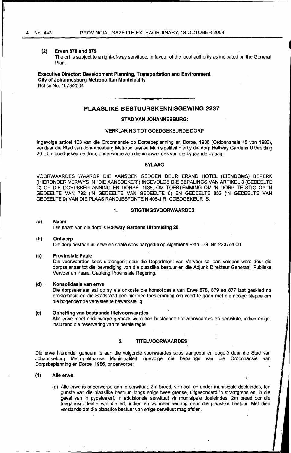# (2) Erven 878 and 879

The erf is subject to a right-of-way servitude, in favour of the local authority as indicated on the General Plan.

Executive Director: Development Planning, Transportation and Environment City of Johannesburg Metropolitan Municipality Notice No. 1 073/2004

# PLAASLIKE BESTUURSKENNISGEWING 2237

#### STAD VAN JOHANNESBURG:

#### VERKLARING TOT GOEDGEKEURDE DORP

lngevolge artikel 103 van die Ordonnansie op Dorpsbeplanning en Dorpe, 1986 (Ordonnansie 15 van 1986), verklaar die Stad van Johannesburg Metropolitaanse Munisipaliteit hierby die dorp Halfway Gardens Uitbreiding 20 tot 'n goedgekeurde dorp, onderworpe aan die voorwaardes van die bygaande bylaag:

# BYLAAG

VOORWAARDES WAAROP DIE AANSOEK GEDOEN DEUR ERAND HOTEL (EIENDOMS) BEPERK (HIERONDER VERWYS IN "DIE AANSOEKER") INGEVOLGE DIE BEPALINGS VAN ARTIKEL 3 (GEDEELTE C) OP DIE DORPSBEPLANNING EN DORPE, 1986, OM TOESTEMMING OM 'N DORP TE STIG OP 'N GEDEELTE VAN 792 ('N GEDEELTE VAN GEDEELTE 6) EN GEDEELTE 852 ('N GEDEELTE VAN GEDEELTE 9) VAN DIE PLAAS RANDJESFONTEIN 405-J.R. GOEDGEKEUR IS.

# 1. STIGTINGSVOORWAARDES

#### (a) Naam Die naam van die dorp is Halfway Gardens Uitbreiding 20.

#### (b) Ontwerp

Die dorp bestaan uit erwe en strate soos aangedui op Algemene Plan L.G. Nr. 2237/2000.

(c) Provinsiale Paaie

Oie voorwaardes soos uiteengesit deur die Department van Vervoer sal aan voldoen word deur die dorpseienaar tot die bevrediging van die plaaslike bestuur en die Adjunk Direkteur-Generaal: Publieke Vervoer en Paaie: Gauteng Provinsiale Regering.

### (d) Konsolidasie van erwe

Die dorpseienaar sal op sy eie onkoste die konsolidasie van Erwe 878, 879 en 877 laat geskied na proklamasie en die Stadsraad gee hiermee toestemming om voort te gaan met die nodige stappe om die bogenoemde vereistes te bewerkstellig.

#### (e) Opheffing van bestaande titelvoorwaardes

Aile erwe moet onderworpe gemaak word aan bestaande titelvoorwaardes en serwitute, indien enige, insluitend die reservering van minerale regte.

# 2. TITELVOORWAAROES

Die erwe hieronder genoem is aan die volgende voorwaardes soos aangedui en opgelê deur die Stad van Johannseburg Metropolitaanse Munisipaliteit ingevolge die bepalings van die Ordonnansie van Dorpsbeplanning en Dorpe, 1986, onderworpe:

### (1) Aile erwe

(a) Aile erwe is onderworpe aan 'n serwituut, 2m breed, vir riool- en ander munisipale doeleindes, ten gunste van die plaaslike bestuur, langs enige twee grense, uitgesonderd 'n straatgrens en, in die geval van 'n pypsteeierf, 'n addisionele serwituut vir munisipale doeleindes, 2m breed oor die toegangsgedeelte van die erf, indien en wanneer verlang deur die plaaslike bestuur: Met dien verstande dat die plaaslike bestuur van enige serwituut mag afsien.

À.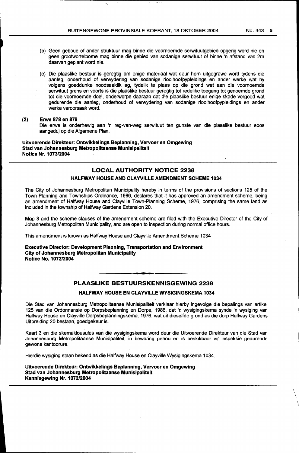- (b) Geen geboue of ander struktuur mag binne die voornoemde serwituutgebied opgerig word nie en geen grootwortelbome mag binne die gebied van sodanige serwituut of binne 'n afstand van 2m daarvan geplant word nie.
- (c) Die plaaslike bestuur is geregtig om enige materiaal wat deur hom uitgegrawe word tydens die aanleg, onderhoud of verwydering van sodanige rioolhoofpypleidings en ander werke wat hy volgens goeddunke noodsaaklik ag, tydelik te plaas op die grond wat aan die voornoemde serwituut grens en voorts is die plaaslike bestuur geregtig tot redelike toegang tot genoemde grond tot die voornoemde doel, onderworpe daaraan dat die plaaslike bestuur enige skade vergoed wat gedurende die aanleg, onderhoud of verwydering van sodanige rioolhoofpypleidings en ander werke veroorsaak word.

# (2) Erwe 878 en 879

Die erwe is onderhewig aan 'n reg-van-weg serwituut ten gunste van die plaaslike bestuur soos aangedui op die Algemene Plan.

Uitvoerende Direkteur: Ontwikkelings Beplanning, Vervoer en Omgewing Stad van Johannesburg Metropolitaanse Munisipaliteit Notice Nr. 1073/2004

# LOCAL AUTHORITY NOTICE 2238

# HALFWAY HOUSE AND CLAYVILLE AMENDMENT SCHEME 1034

The City of Johannesburg Metropolitan Municipality hereby in terms of the provisions of sections 125 of the Town-Planning and Townships Ordinance, 1986, declares that it has approved an amendment scheme, being an amendment of Halfway House and Clayville Town-Planning Scheme, 1976, comprising the same land as included in the township of Halfway Gardens Extension 20.

Map 3 and the scheme clauses of the amendment scheme are filed with the Executive Director of the City of Johannesburg Metropolitan Municipality, and are open to inspection during normal office hours.

This amendment is known as Halfway House and Clayville Amendment Scheme 1034

Executive Director: Development Planning, Transportation and Environment City of Johannesburg Metropolitan Municipality Notice No. 1072/2004

# PLAASLIKE BESTUURSKENNISGEWING 2238

# HALFWAY HOUSE EN CLAYVILLE WYSIGINGSKEMA 1034

Die Stad van Johannesburg Metropolitaanse Munisipaliteit verklaar hierby ingevolge die bepalings van artikel 125 van die Ordonnansie op Dorpsbeplanning en Dorpe, 1986, dat 'n wysigingskema synde 'n wysiging van Halfway House en Clayville Dorpsbeplanningskema, 1976, wat uit dieselfde grond as die dorp Halfway Gardens Uitbreiding 20 bestaan, goedgekeur is.

Kaart 3 en die skemaklousules van die wysigingskema word deur die Uitvoerende Direkteur van die Stad van Johannesburg Metropolitaanse Munisipaliteit, in bewaring gehou en is beskikbaar vir inspeksie gedurende gewone kantoorure.

Hierdie wysiging staan bekend as die Halfway House en Clayville Wysigingskema 1034.

Uitvoerende Direkteur: Ontwikkelings Beplanning, Vervoer en Omgewing Stad van Johannesburg Metropolitaanse Munisipaliteit Kennisgewing Nr.107212004

 $\setminus$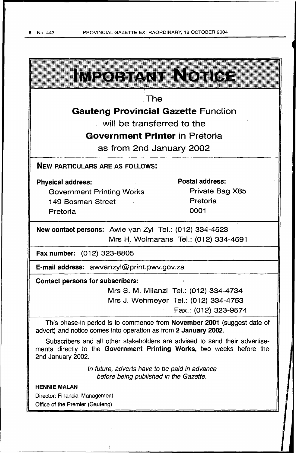| IMEQETANIMA TOIHOM                                                                                                                                                        |                                        |  |  |  |
|---------------------------------------------------------------------------------------------------------------------------------------------------------------------------|----------------------------------------|--|--|--|
|                                                                                                                                                                           |                                        |  |  |  |
| The                                                                                                                                                                       |                                        |  |  |  |
| <b>Gauteng Provincial Gazette Function</b>                                                                                                                                |                                        |  |  |  |
| will be transferred to the                                                                                                                                                |                                        |  |  |  |
| <b>Government Printer</b> in Pretoria                                                                                                                                     |                                        |  |  |  |
| as from 2nd January 2002                                                                                                                                                  |                                        |  |  |  |
| <b>NEW PARTICULARS ARE AS FOLLOWS:</b>                                                                                                                                    |                                        |  |  |  |
| <b>Physical address:</b>                                                                                                                                                  | <b>Postal address:</b>                 |  |  |  |
| <b>Government Printing Works</b>                                                                                                                                          | Private Bag X85                        |  |  |  |
| 149 Bosman Street                                                                                                                                                         | Pretoria                               |  |  |  |
| Pretoria                                                                                                                                                                  | 0001                                   |  |  |  |
| New contact persons: Awie van Zyl Tel.: (012) 334-4523                                                                                                                    |                                        |  |  |  |
| Mrs H. Wolmarans Tel.: (012) 334-4591                                                                                                                                     |                                        |  |  |  |
| Fax number: (012) 323-8805                                                                                                                                                |                                        |  |  |  |
| E-mail address: awvanzyl@print.pwv.gov.za                                                                                                                                 |                                        |  |  |  |
| <b>Contact persons for subscribers:</b>                                                                                                                                   |                                        |  |  |  |
|                                                                                                                                                                           | Mrs S. M. Milanzi Tel.: (012) 334-4734 |  |  |  |
|                                                                                                                                                                           | Mrs J. Wehmeyer Tel.: (012) 334-4753   |  |  |  |
|                                                                                                                                                                           | Fax.: (012) 323-9574                   |  |  |  |
| This phase-in period is to commence from November 2001 (suggest date of<br>advert) and notice comes into operation as from 2 January 2002.                                |                                        |  |  |  |
| Subscribers and all other stakeholders are advised to send their advertise-<br>ments directly to the Government Printing Works, two weeks before the<br>2nd January 2002. |                                        |  |  |  |
| In future, adverts have to be paid in advance<br>before being published in the Gazette.                                                                                   |                                        |  |  |  |
| <b>HENNIE MALAN</b>                                                                                                                                                       |                                        |  |  |  |
| <b>Director: Financial Management</b>                                                                                                                                     |                                        |  |  |  |
| Office of the Premier (Gauteng)                                                                                                                                           |                                        |  |  |  |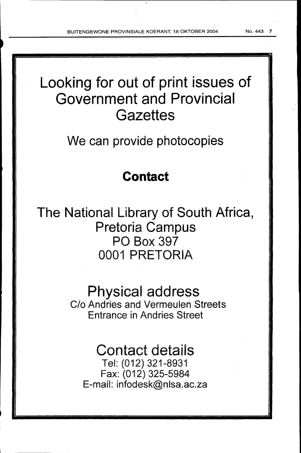BUITENGEWONE PROVINSIALE KOERANT, 18 OKTOBER 2004 No. 443

# Looking for out of print issues of Government and Provincial **Gazettes**

We can provide photocopies

# Contact

The National Library of South Africa, Pretoria Campus PO Box 397 0001 PRETORIA

# Physical address

C/o Andries and Vermeulen Streets Entrance in Andries Street

# Contact details

Tel: (012) 321-8931 Fax: (012) 325-5984 E-mail: infodesk@nlsa.ac.za